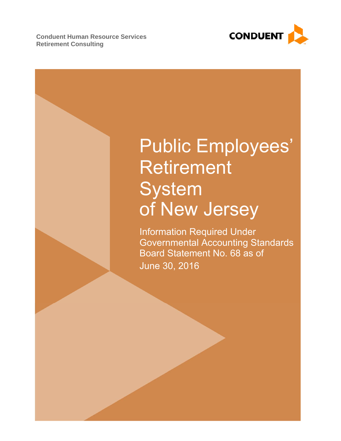**Conduent Human Resource Services Retirement Consulting** 



# Public Employees' Retirement System of New Jersey

Information Required Under Governmental Accounting Standards Board Statement No. 68 as of June 30, 2016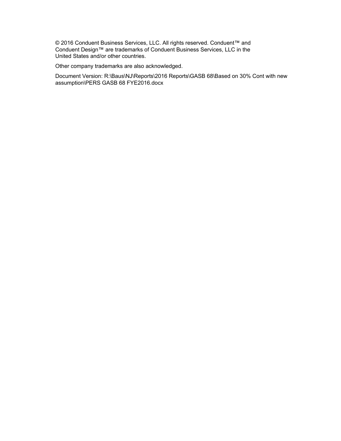© 2016 Conduent Business Services, LLC. All rights reserved. Conduent™ and Conduent Design™ are trademarks of Conduent Business Services, LLC in the United States and/or other countries.

Other company trademarks are also acknowledged.

Document Version: R:\Baus\NJ\Reports\2016 Reports\GASB 68\Based on 30% Cont with new assumption\PERS GASB 68 FYE2016.docx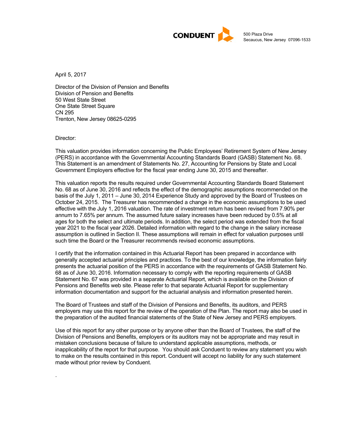

500 Plaza Drive Secaucus, New Jersey 07096-1533

April 5, 2017

Director of the Division of Pension and Benefits Division of Pension and Benefits 50 West State Street One State Street Square CN 295 Trenton, New Jersey 08625-0295

Director:

.

This valuation provides information concerning the Public Employees' Retirement System of New Jersey (PERS) in accordance with the Governmental Accounting Standards Board (GASB) Statement No. 68. This Statement is an amendment of Statements No. 27, Accounting for Pensions by State and Local Government Employers effective for the fiscal year ending June 30, 2015 and thereafter.

This valuation reports the results required under Governmental Accounting Standards Board Statement No. 68 as of June 30, 2016 and reflects the effect of the demographic assumptions recommended on the basis of the July 1, 2011 – June 30, 2014 Experience Study and approved by the Board of Trustees on October 24, 2015. The Treasurer has recommended a change in the economic assumptions to be used effective with the July 1, 2016 valuation. The rate of investment return has been revised from 7.90% per annum to 7.65% per annum. The assumed future salary increases have been reduced by 0.5% at all ages for both the select and ultimate periods. In addition, the select period was extended from the fiscal year 2021 to the fiscal year 2026. Detailed information with regard to the change in the salary increase assumption is outlined in Section II. These assumptions will remain in effect for valuation purposes until such time the Board or the Treasurer recommends revised economic assumptions.

I certify that the information contained in this Actuarial Report has been prepared in accordance with generally accepted actuarial principles and practices. To the best of our knowledge, the information fairly presents the actuarial position of the PERS in accordance with the requirements of GASB Statement No. 68 as of June 30, 2016. Information necessary to comply with the reporting requirements of GASB Statement No. 67 was provided in a separate Actuarial Report, which is available on the Division of Pensions and Benefits web site. Please refer to that separate Actuarial Report for supplementary information documentation and support for the actuarial analysis and information presented herein.

The Board of Trustees and staff of the Division of Pensions and Benefits, its auditors, and PERS employers may use this report for the review of the operation of the Plan. The report may also be used in the preparation of the audited financial statements of the State of New Jersey and PERS employers.

Use of this report for any other purpose or by anyone other than the Board of Trustees, the staff of the Division of Pensions and Benefits, employers or its auditors may not be appropriate and may result in mistaken conclusions because of failure to understand applicable assumptions, methods, or inapplicability of the report for that purpose. You should ask Conduent to review any statement you wish to make on the results contained in this report. Conduent will accept no liability for any such statement made without prior review by Conduent.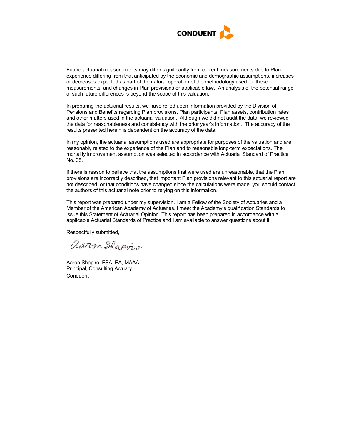

Future actuarial measurements may differ significantly from current measurements due to Plan experience differing from that anticipated by the economic and demographic assumptions, increases or decreases expected as part of the natural operation of the methodology used for these measurements, and changes in Plan provisions or applicable law. An analysis of the potential range of such future differences is beyond the scope of this valuation.

In preparing the actuarial results, we have relied upon information provided by the Division of Pensions and Benefits regarding Plan provisions, Plan participants, Plan assets, contribution rates and other matters used in the actuarial valuation. Although we did not audit the data, we reviewed the data for reasonableness and consistency with the prior year's information. The accuracy of the results presented herein is dependent on the accuracy of the data.

In my opinion, the actuarial assumptions used are appropriate for purposes of the valuation and are reasonably related to the experience of the Plan and to reasonable long-term expectations. The mortality improvement assumption was selected in accordance with Actuarial Standard of Practice No. 35.

If there is reason to believe that the assumptions that were used are unreasonable, that the Plan provisions are incorrectly described, that important Plan provisions relevant to this actuarial report are not described, or that conditions have changed since the calculations were made, you should contact the authors of this actuarial note prior to relying on this information.

This report was prepared under my supervision. I am a Fellow of the Society of Actuaries and a Member of the American Academy of Actuaries. I meet the Academy's qualification Standards to issue this Statement of Actuarial Opinion. This report has been prepared in accordance with all applicable Actuarial Standards of Practice and I am available to answer questions about it.

Respectfully submitted,

aaron Shapvis

**Conduent** Aaron Shapiro, FSA, EA, MAAA Principal, Consulting Actuary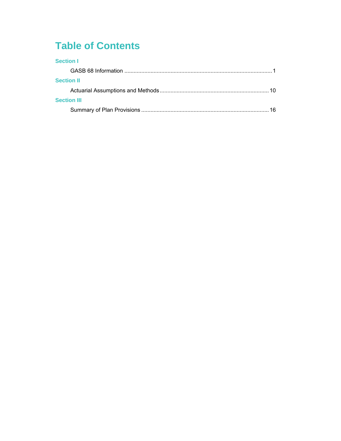## **Table of Contents**

| <b>Section I</b>   |    |
|--------------------|----|
|                    |    |
| <b>Section II</b>  |    |
|                    | 10 |
| <b>Section III</b> |    |
|                    |    |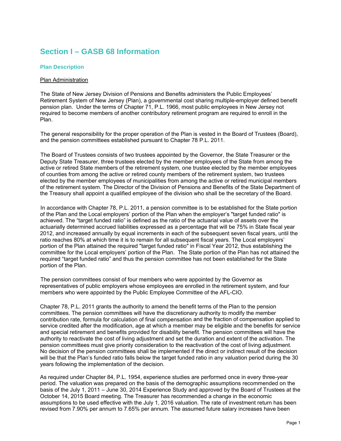## **Section I – GASB 68 Information**

#### **Plan Description**

#### Plan Administration

The State of New Jersey Division of Pensions and Benefits administers the Public Employees' Retirement System of New Jersey (Plan), a governmental cost sharing multiple-employer defined benefit pension plan. Under the terms of Chapter 71, P.L. 1966, most public employees in New Jersey not required to become members of another contributory retirement program are required to enroll in the Plan.

The general responsibility for the proper operation of the Plan is vested in the Board of Trustees (Board), and the pension committees established pursuant to Chapter 78 P.L. 2011.

The Board of Trustees consists of two trustees appointed by the Governor, the State Treasurer or the Deputy State Treasurer, three trustees elected by the member employees of the State from among the active or retired State members of the retirement system, one trustee elected by the member employees of counties from among the active or retired county members of the retirement system, two trustees elected by the member employees of municipalities from among the active or retired municipal members of the retirement system. The Director of the Division of Pensions and Benefits of the State Department of the Treasury shall appoint a qualified employee of the division who shall be the secretary of the Board.

In accordance with Chapter 78, P.L. 2011, a pension committee is to be established for the State portion of the Plan and the Local employers' portion of the Plan when the employer's "target funded ratio" is achieved. The "target funded ratio" is defined as the ratio of the actuarial value of assets over the actuarially determined accrued liabilities expressed as a percentage that will be 75% in State fiscal year 2012, and increased annually by equal increments in each of the subsequent seven fiscal years, until the ratio reaches 80% at which time it is to remain for all subsequent fiscal years. The Local employers' portion of the Plan attained the required "target funded ratio" in Fiscal Year 2012, thus establishing the committee for the Local employers' portion of the Plan. The State portion of the Plan has not attained the required "target funded ratio" and thus the pension committee has not been established for the State portion of the Plan.

The pension committees consist of four members who were appointed by the Governor as representatives of public employers whose employees are enrolled in the retirement system, and four members who were appointed by the Public Employee Committee of the AFL-CIO.

Chapter 78, P.L. 2011 grants the authority to amend the benefit terms of the Plan to the pension committees. The pension committees will have the discretionary authority to modify the member contribution rate, formula for calculation of final compensation and the fraction of compensation applied to service credited after the modification, age at which a member may be eligible and the benefits for service and special retirement and benefits provided for disability benefit. The pension committees will have the authority to reactivate the cost of living adjustment and set the duration and extent of the activation. The pension committees must give priority consideration to the reactivation of the cost of living adjustment. No decision of the pension committees shall be implemented if the direct or indirect result of the decision will be that the Plan's funded ratio falls below the target funded ratio in any valuation period during the 30 years following the implementation of the decision.

As required under Chapter 84, P.L. 1954, experience studies are performed once in every three-year period. The valuation was prepared on the basis of the demographic assumptions recommended on the basis of the July 1, 2011 – June 30, 2014 Experience Study and approved by the Board of Trustees at the October 14, 2015 Board meeting. The Treasurer has recommended a change in the economic assumptions to be used effective with the July 1, 2016 valuation. The rate of investment return has been revised from 7.90% per annum to 7.65% per annum. The assumed future salary increases have been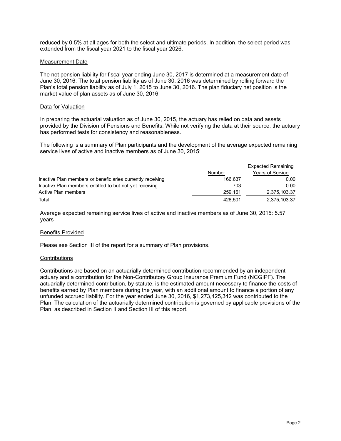reduced by 0.5% at all ages for both the select and ultimate periods. In addition, the select period was extended from the fiscal year 2021 to the fiscal year 2026.

#### Measurement Date

The net pension liability for fiscal year ending June 30, 2017 is determined at a measurement date of June 30, 2016. The total pension liability as of June 30, 2016 was determined by rolling forward the Plan's total pension liability as of July 1, 2015 to June 30, 2016. The plan fiduciary net position is the market value of plan assets as of June 30, 2016.

#### Data for Valuation

In preparing the actuarial valuation as of June 30, 2015, the actuary has relied on data and assets provided by the Division of Pensions and Benefits. While not verifying the data at their source, the actuary has performed tests for consistency and reasonableness.

The following is a summary of Plan participants and the development of the average expected remaining service lives of active and inactive members as of June 30, 2015:

|                                                            |         | Expected Remaining |
|------------------------------------------------------------|---------|--------------------|
|                                                            | Number  | Years of Service   |
| Inactive Plan members or beneficiaries currently receiving | 166.637 | 0.00 <sub>1</sub>  |
| Inactive Plan members entitled to but not yet receiving    | 703     | 0.00               |
| Active Plan members                                        | 259.161 | 2,375,103.37       |
| Total                                                      | 426.501 | 2,375,103.37       |

Average expected remaining service lives of active and inactive members as of June 30, 2015: 5.57 years

#### Benefits Provided

Please see Section III of the report for a summary of Plan provisions.

#### Contributions

Contributions are based on an actuarially determined contribution recommended by an independent actuary and a contribution for the Non-Contributory Group Insurance Premium Fund (NCGIPF). The actuarially determined contribution, by statute, is the estimated amount necessary to finance the costs of benefits earned by Plan members during the year, with an additional amount to finance a portion of any unfunded accrued liability. For the year ended June 30, 2016, \$1,273,425,342 was contributed to the Plan. The calculation of the actuarially determined contribution is governed by applicable provisions of the Plan, as described in Section II and Section III of this report.

Expected Remaining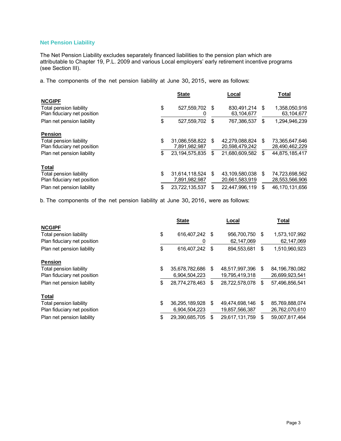#### **Net Pension Liability**

The Net Pension Liability excludes separately financed liabilities to the pension plan which are attributable to Chapter 19, P.L. 2009 and various Local employers' early retirement incentive programs (see Section III).

a. The components of the net pension liability at June 30, 2015, were as follows:

|                                                        | <b>State</b>         |    | Local                     |    | Total                       |
|--------------------------------------------------------|----------------------|----|---------------------------|----|-----------------------------|
| <b>NCGIPF</b>                                          |                      |    |                           |    |                             |
| Total pension liability<br>Plan fiduciary net position | \$<br>527,559,702 \$ |    | 830.491.214<br>63.104.677 | \$ | 1,358,050,916<br>63,104,677 |
| Plan net pension liability                             | \$<br>527,559,702    | S  | 767,386,537               | S  | 1,294,946,239               |
| <b>Pension</b>                                         |                      |    |                           |    |                             |
| Total pension liability                                | \$<br>31,086,558,822 | S  | 42,279,088,824            | \$ | 73,365,647,646              |
| Plan fiduciary net position                            | 7,891,982,987        |    | 20,598,479,242            |    | 28,490,462,229              |
| Plan net pension liability                             | \$<br>23.194.575.835 | \$ | 21.680.609.582            | \$ | 44,875,185,417              |
| <b>Total</b>                                           |                      |    |                           |    |                             |
| Total pension liability                                | \$<br>31,614,118,524 | \$ | 43.109.580.038            | \$ | 74,723,698,562              |
| Plan fiduciary net position                            | 7,891,982,987        |    | 20,661,583,919            |    | 28,553,566,906              |
| Plan net pension liability                             | \$<br>23,722,135,537 | S  | 22.447.996.119            | \$ | 46.170.131.656              |

b. The components of the net pension liability at June 30, 2016, were as follows:

|                             | <b>State</b>         | Local |                |    | Total          |  |  |
|-----------------------------|----------------------|-------|----------------|----|----------------|--|--|
| <b>NCGIPF</b>               |                      |       |                |    |                |  |  |
| Total pension liability     | \$<br>616,407,242    | - \$  | 956,700,750    | S  | 1,573,107,992  |  |  |
| Plan fiduciary net position |                      |       | 62,147,069     |    | 62,147,069     |  |  |
| Plan net pension liability  | \$<br>616.407.242    | \$    | 894,553,681    | \$ | 1,510,960,923  |  |  |
| <b>Pension</b>              |                      |       |                |    |                |  |  |
| Total pension liability     | \$<br>35,678,782,686 | \$    | 48,517,997,396 | \$ | 84,196,780,082 |  |  |
| Plan fiduciary net position | 6,904,504,223        |       | 19,795,419,318 |    | 26,699,923,541 |  |  |
| Plan net pension liability  | \$<br>28,774,278,463 | \$    | 28,722,578,078 | \$ | 57,496,856,541 |  |  |
| <b>Total</b>                |                      |       |                |    |                |  |  |
| Total pension liability     | \$<br>36,295,189,928 | \$    | 49,474,698,146 | \$ | 85,769,888,074 |  |  |
| Plan fiduciary net position | 6,904,504,223        |       | 19,857,566,387 |    | 26,762,070,610 |  |  |
| Plan net pension liability  | \$<br>29.390.685.705 | \$    | 29.617.131.759 | \$ | 59.007.817.464 |  |  |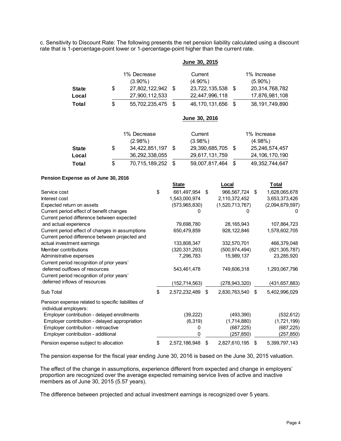c. Sensitivity to Discount Rate: The following presents the net pension liability calculated using a discount rate that is 1-percentage-point lower or 1-percentage-point higher than the current rate.

|              |                           |      | June 30, 2015      |      |                           |
|--------------|---------------------------|------|--------------------|------|---------------------------|
|              | 1% Decrease<br>$(3.90\%)$ |      | Current<br>(4.90%) |      | 1% Increase<br>$(5.90\%)$ |
| <b>State</b> | \$<br>27,802,122,942      | - \$ | 23,722,135,538     | - \$ | 20,314,768,782            |
| Local        | 27,900,112,533            |      | 22,447,996,118     |      | 17,876,981,108            |
| <b>Total</b> | \$<br>55,702,235,475      | \$   | 46, 170, 131, 656  | \$   | 38, 191, 749, 890         |
|              |                           |      | June 30, 2016      |      |                           |
|              | 1% Decrease<br>$(2.98\%)$ |      | Current<br>(3.98%) |      | 1% Increase<br>$(4.98\%)$ |
| <b>State</b> | \$<br>34,422,851,197      | - \$ | 29,390,685,705     | - \$ | 25,246,574,457            |
| Local        | 36,292,338,055            |      | 29,617,131,759     |      | 24, 106, 170, 190         |

**Total** \$ 70,715,189,252 \$ 59,007,817,464 \$ 49,352,744,647

#### **Pension Expense as of June 30, 2016**

|                                                    | <b>State</b>        | Local               |     | Total           |
|----------------------------------------------------|---------------------|---------------------|-----|-----------------|
| Service cost                                       | \$<br>661,497,954   | \$<br>966,567,724   | \$  | 1,628,065,678   |
| Interest cost                                      | 1,543,000,974       | 2,110,372,452       |     | 3,653,373,426   |
| Expected return on assets                          | (573,965,830)       | (1,520,713,767)     |     | (2,094,679,597) |
| Current period effect of benefit changes           |                     |                     |     |                 |
| Current period difference between expected         |                     |                     |     |                 |
| and actual experience                              | 79,698,780          | 28,165,943          |     | 107,864,723     |
| Current period effect of changes in assumptions    | 650,479,859         | 928,122,846         |     | 1,578,602,705   |
| Current period difference between projected and    |                     |                     |     |                 |
| actual investment earnings                         | 133,808,347         | 332,570,701         |     | 466,379,048     |
| Member contributions                               | (320,331,293)       | (500,974,494)       |     | (821, 305, 787) |
| Administrative expenses                            | 7,296,783           | 15,989,137          |     | 23,285,920      |
| Current period recognition of prior years'         |                     |                     |     |                 |
| deferred outflows of resources                     | 543,461,478         | 749,606,318         |     | 1,293,067,796   |
| Current period recognition of prior years'         |                     |                     |     |                 |
| deferred inflows of resources                      | (152, 714, 563)     | (278, 943, 320)     |     | (431,657,883)   |
| Sub Total                                          | \$<br>2,572,232,489 | \$<br>2,830,763,540 | -\$ | 5,402,996,029   |
| Pension expense related to specific liabilities of |                     |                     |     |                 |
| individual employers:                              |                     |                     |     |                 |
| Employer contribution - delayed enrollments        | (39, 222)           | (493, 390)          |     | (532, 612)      |
| Employer contribution - delayed appropriation      | (6,319)             | (1,714,880)         |     | (1,721,199)     |
| Employer contribution - retroactive                | 0                   | (687, 225)          |     | (687, 225)      |
| Employer contribution - additional                 |                     | (257, 850)          |     | (257, 850)      |
| Pension expense subject to allocation              | \$<br>2,572,186,948 | \$<br>2,827,610,195 | \$  | 5,399,797,143   |

The pension expense for the fiscal year ending June 30, 2016 is based on the June 30, 2015 valuation.

The effect of the change in assumptions, experience different from expected and change in employers' proportion are recognized over the average expected remaining service lives of active and inactive members as of June 30, 2015 (5.57 years).

The difference between projected and actual investment earnings is recognized over 5 years.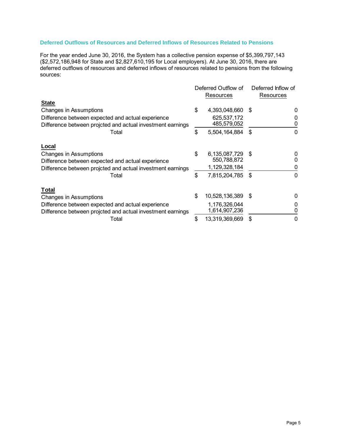#### **Deferred Outflows of Resources and Deferred Inflows of Resources Related to Pensions**

For the year ended June 30, 2016, the System has a collective pension expense of \$5,399,797,143 (\$2,572,186,948 for State and \$2,827,610,195 for Local employers). At June 30, 2016, there are deferred outflows of resources and deferred inflows of resources related to pensions from the following sources:

|                                                                                                                 | Deferred Outflow of<br>Resources |      | Deferred Inflow of<br>Resources |  |
|-----------------------------------------------------------------------------------------------------------------|----------------------------------|------|---------------------------------|--|
| <b>State</b>                                                                                                    |                                  |      |                                 |  |
| Changes in Assumptions                                                                                          | \$<br>4,393,048,660              | -S   | 0                               |  |
| Difference between expected and actual experience<br>Difference between projcted and actual investment earnings | 625,537,172<br>485,579,052       |      | 0                               |  |
| Total                                                                                                           | \$<br>5,504,164,884              | -S   | 0                               |  |
| Local                                                                                                           |                                  |      |                                 |  |
| Changes in Assumptions                                                                                          | \$<br>6,135,087,729              | -S   | 0                               |  |
| Difference between expected and actual experience                                                               | 550,788,872                      |      | O                               |  |
| Difference between projcted and actual investment earnings                                                      | 1,129,328,184                    |      | 0                               |  |
| Total                                                                                                           | \$<br>7,815,204,785              | \$   | 0                               |  |
| <b>Total</b>                                                                                                    |                                  |      |                                 |  |
| Changes in Assumptions                                                                                          | \$<br>10,528,136,389             | - \$ | O                               |  |
| Difference between expected and actual experience<br>Difference between projcted and actual investment earnings | 1,176,326,044<br>1,614,907,236   |      | 0<br>0                          |  |
| Total                                                                                                           | \$<br>13,319,369,669             | \$   | 0                               |  |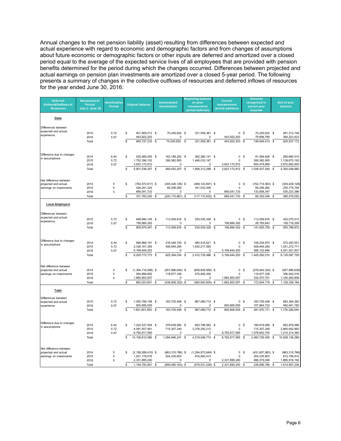Annual changes to the net pension liability (asset) resulting from differences between expected and actual experience with regard to economic and demographic factors and from changes of assumptions about future economic or demographic factors or other inputs are deferred and amortized over a closed period equal to the average of the expected service lives of all employees that are provided with pension benefits determined for the period during which the changes occurred. Differences between projected and actual earnings on pension plan investments are amortized over a closed 5-year period. The following presents a summary of changes in the collective outflows of resources and deferred inflows of resources for the year ended June 30, 2016:

| <b>Deferred</b><br>(Inflows)/Outflows of<br><b>Resources</b> | <b>Measurement</b><br><b>Period</b><br>July 1- June 30 | <b>Amortization</b><br><b>Period</b> |                         | <b>Original balance</b>                  |          | Accumulated<br>amortization         |          | <b>Beginning balance</b><br>on prior<br>measurement<br>period deferrals | <b>Current</b><br>measurement<br>period additions |                | <b>Amounts</b><br>recognized in<br>current year<br>expense |             | End of year<br>balance         |
|--------------------------------------------------------------|--------------------------------------------------------|--------------------------------------|-------------------------|------------------------------------------|----------|-------------------------------------|----------|-------------------------------------------------------------------------|---------------------------------------------------|----------------|------------------------------------------------------------|-------------|--------------------------------|
| <b>State</b>                                                 |                                                        |                                      |                         |                                          |          |                                     |          |                                                                         |                                                   |                |                                                            |             |                                |
| Differences between                                          |                                                        |                                      |                         |                                          |          |                                     |          |                                                                         |                                                   |                |                                                            |             |                                |
| expected and actual<br>experience                            | 2015<br>2016                                           | 5.72<br>5.57                         | \$                      | 401,805,013 \$<br>443,922,203            |          | 70,245,632 \$<br>$\Omega$           |          | 331,559,381 \$<br>$\Omega$                                              | 443,922,203                                       | 0 <sup>5</sup> | 70,245,632 \$<br>79,698,780                                |             | 261,313,749<br>364,223,423     |
|                                                              | Total                                                  |                                      | $\overline{\mathbf{s}}$ | 845,727,216 \$                           |          | 70,245,632                          | <b>S</b> | 331,559,381 \$                                                          | 443,922,203                                       | \$             | 149,944,412 \$                                             |             | 625,537,172                    |
| Difference due to changes                                    | 2014                                                   | 6.44                                 | \$                      | 525,469,393 \$                           |          | 163, 189, 252 \$                    |          | 362,280,141 \$                                                          | 0                                                 | -S             | 81,594,626                                                 | -\$         | 280,685,515                    |
| in assumptions                                               | 2015                                                   | 5.72                                 |                         | 1,752,396,102                            |          | 306, 362, 955                       |          | 1,446,033,147                                                           | $\Omega$                                          |                | 306, 362, 955                                              |             | 1,139,670,192                  |
|                                                              | 2016<br>Total                                          | 5.57                                 | \$                      | 3,623,172,812<br>5,901,038,307           | <b>S</b> | 0<br>469,552,207                    | \$       | 0<br>1,808,313,288                                                      | \$<br>3,623,172,812<br>3,623,172,812              | <b>S</b>       | 650,479,859<br>1,038,437,440                               | \$          | 2,972,692,953<br>4,393,048,660 |
|                                                              |                                                        |                                      |                         |                                          |          |                                     |          |                                                                         |                                                   |                |                                                            |             |                                |
| Net difference between                                       |                                                        |                                      |                         |                                          |          |                                     |          |                                                                         |                                                   |                |                                                            |             |                                |
| projected and actual<br>earnings on investments              | 2014<br>2015                                           | 5<br>5                               | \$                      | (763,572,817) \$<br>426,291,324          |          | $(305, 429, 126)$ \$<br>85,258,265  |          | (458, 143, 691) \$<br>341,033,059                                       | 0                                                 | - \$           | $(152, 714, 563)$ \$<br>85,258,265                         |             | (305, 429, 128)<br>255,774,794 |
|                                                              | 2016                                                   | 5                                    |                         | 669,041,733                              |          | 0                                   |          | 0                                                                       | 669,041,733                                       |                | 133,808,347                                                |             | 535,233,386                    |
|                                                              | Total                                                  |                                      | \$                      | 331,760,240                              | <b>S</b> | (220, 170, 861)                     | \$       | (117, 110, 632)                                                         | \$<br>669,041,733                                 | \$             | 66,352,049                                                 | \$          | 485,579,052                    |
| <b>Local Employers</b>                                       |                                                        |                                      |                         |                                          |          |                                     |          |                                                                         |                                                   |                |                                                            |             |                                |
| Differences between                                          |                                                        |                                      |                         |                                          |          |                                     |          |                                                                         |                                                   |                |                                                            |             |                                |
| expected and actual<br>experience                            | 2015                                                   | 5.72                                 | \$                      | 648,990,145                              | - \$     | 113,459,816 \$                      |          | 535,530,329 \$                                                          |                                                   | 0 <sup>5</sup> | 113,459,816                                                | - \$        | 422,070,513                    |
|                                                              | 2016<br>Total                                          | 5.57                                 | \$                      | 156,884,302<br>805,874,447 \$            |          | $\Omega$<br>113,459,816 \$          |          | 0<br>535,530,329 \$                                                     | 156,884,302<br>156,884,302 \$                     |                | 28, 165, 943<br>141,625,759                                | <b>S</b>    | 128,718,359<br>550,788,872     |
|                                                              |                                                        |                                      |                         |                                          |          |                                     |          |                                                                         |                                                   |                |                                                            |             |                                |
| Difference due to changes                                    | 2014                                                   | 6.44                                 | \$                      | 696,968,161 \$                           |          | 216,449,740 \$                      |          | 480,518,421 \$                                                          | 0                                                 | - \$           | 108,224,870                                                | - \$        | 372,293,551                    |
| in assumptions                                               | 2015                                                   | 5.72                                 |                         | 2,339,161,359                            |          | 408,944,294                         |          | 1,930,217,065                                                           | $\Omega$                                          |                | 408,944,294                                                |             | 1,521,272,771                  |
|                                                              | 2016<br>Total                                          | 5.57                                 | \$                      | 5, 169, 644, 253<br>8,205,773,773 \$     |          | 0<br>625,394,034                    | <b>S</b> | 0<br>2,410,735,486 \$                                                   | 5, 169, 644, 253<br>5, 169, 644, 253              | <b>S</b>       | 928, 122, 846<br>1,445,292,010                             | \$          | 4,241,521,407<br>6,135,087,729 |
|                                                              |                                                        |                                      |                         |                                          |          |                                     |          |                                                                         |                                                   |                |                                                            |             |                                |
| Net difference between                                       |                                                        |                                      |                         |                                          |          |                                     |          |                                                                         |                                                   |                |                                                            |             |                                |
| projected and actual<br>earnings on investments              | 2014<br>2015                                           | 5<br>5                               | \$                      | $(1,394,716,598)$ \$<br>594,886,692      |          | $(557, 886, 640)$ \$<br>118,977,338 |          | $(836, 829, 958)$ \$<br>475,909,354                                     | 0<br>$\Omega$                                     | -\$            | $(278, 943, 320)$ \$<br>118,977,338                        |             | (557, 886, 638)<br>356,932,016 |
|                                                              | 2016                                                   | 5                                    |                         | 1,662,853,507                            |          | $\Omega$                            |          | 0                                                                       | 1,662,853,507                                     |                | 332,570,701                                                |             | 1,330,282,806                  |
|                                                              | Total                                                  |                                      | \$                      | 863,023,601                              | \$       | (438, 909, 302)                     | -S       | (360, 920, 604)                                                         | \$<br>1,662,853,507                               | \$             | 172,604,719                                                | \$          | 1, 129, 328, 184               |
| Total                                                        |                                                        |                                      |                         |                                          |          |                                     |          |                                                                         |                                                   |                |                                                            |             |                                |
| Differences between<br>expected and actual                   | 2015                                                   | 5.72                                 | \$                      | 1,050,795,158 \$                         |          | 183,705,448 \$                      |          | 867,089,710 \$                                                          |                                                   | 0 <sup>5</sup> | 183,705,448                                                | $\mathbf s$ | 683,384,262                    |
| experience                                                   | 2016                                                   | 5.57                                 |                         | 600,806,505                              |          | $\Omega$                            |          | $\Omega$                                                                | 600,806,505                                       |                | 107,864,723                                                |             | 492,941,782                    |
|                                                              | Total                                                  |                                      | \$                      | 1,651,601,663 \$                         |          | 183,705,448                         | - S      | 867,089,710 \$                                                          | 600,806,505 \$                                    |                | 291,570,171 \$                                             |             | 1,176,326,044                  |
| Difference due to changes                                    |                                                        |                                      |                         |                                          |          |                                     |          |                                                                         |                                                   |                |                                                            |             |                                |
| in assumptions                                               | 2014<br>2015                                           | 6.44<br>5.72                         | \$                      | 1,222,437,554 \$<br>4,091,557,461        |          | 379,638,992 \$<br>715,307,249       |          | 842.798.562 \$<br>3,376,250,212                                         | $\mathbf 0$<br>$\Omega$                           | <b>S</b>       | 189,819,496 \$<br>715,307,249                              |             | 652,979,066<br>2,660,942,963   |
|                                                              | 2016                                                   | 5.57                                 |                         | 8,792,817,065                            |          | 0                                   |          | 0                                                                       | 8,792,817,065                                     |                | 1,578,602,705                                              |             | 7,214,214,360                  |
|                                                              | Total                                                  |                                      | \$                      | 14,106,812,080                           | - \$     | 1,094,946,241 \$                    |          | 4,219,048,774 \$                                                        | 8,792,817,065                                     | <b>S</b>       | 2,483,729,450                                              | \$          | 10,528,136,389                 |
| Net difference between                                       |                                                        |                                      |                         |                                          |          |                                     |          |                                                                         |                                                   |                |                                                            |             |                                |
| projected and actual<br>earnings on investments              | 2014<br>2015                                           | 5<br>5                               | \$                      | $(2, 158, 289, 415)$ \$<br>1,021,178,016 |          | $(863, 315, 766)$ \$<br>204,235,603 |          | $(1, 294, 973, 649)$ \$<br>816,942,413                                  | 0<br>$\Omega$                                     | - \$           | $(431, 657, 883)$ \$<br>204,235,603                        |             | (863, 315, 766)<br>612,706,810 |
|                                                              | 2016                                                   | 5                                    |                         | 2,331,895,240                            |          | 0                                   |          | 0                                                                       | 2,331,895,240                                     |                | 466,379,048                                                |             | 1,865,516,192                  |
|                                                              | Total                                                  |                                      | S                       | 1.194.783.841                            | S        | $(659,080,163)$ \$                  |          | (478,031,236) \$                                                        | 2,331,895,240                                     | \$             | 238.956.768                                                | \$          | 1,614,907,236                  |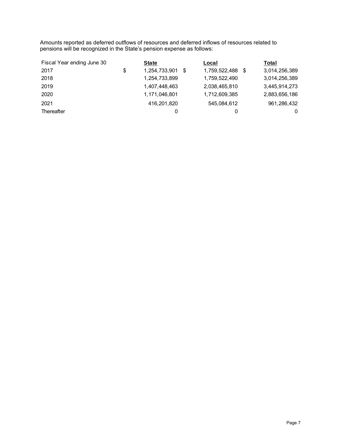Amounts reported as deferred outflows of resources and deferred inflows of resources related to pensions will be recognized in the State's pension expense as follows:

| Fiscal Year ending June 30 | <b>State</b>        |      | Local         | Total         |
|----------------------------|---------------------|------|---------------|---------------|
| 2017                       | \$<br>1,254,733,901 | - \$ | 1,759,522,488 | 3,014,256,389 |
| 2018                       | 1,254,733,899       |      | 1,759,522,490 | 3,014,256,389 |
| 2019                       | 1,407,448,463       |      | 2,038,465,810 | 3,445,914,273 |
| 2020                       | 1,171,046,801       |      | 1,712,609,385 | 2,883,656,186 |
| 2021                       | 416,201,820         |      | 545,084,612   | 961,286,432   |
| Thereafter                 | 0                   |      |               | 0             |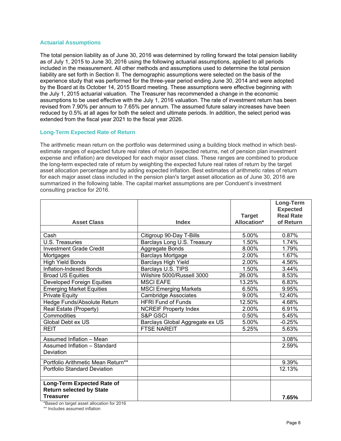#### **Actuarial Assumptions**

The total pension liability as of June 30, 2016 was determined by rolling forward the total pension liability as of July 1, 2015 to June 30, 2016 using the following actuarial assumptions, applied to all periods included in the measurement. All other methods and assumptions used to determine the total pension liability are set forth in Section II. The demographic assumptions were selected on the basis of the experience study that was performed for the three-year period ending June 30, 2014 and were adopted by the Board at its October 14, 2015 Board meeting. These assumptions were effective beginning with the July 1, 2015 actuarial valuation. The Treasurer has recommended a change in the economic assumptions to be used effective with the July 1, 2016 valuation. The rate of investment return has been revised from 7.90% per annum to 7.65% per annum. The assumed future salary increases have been reduced by 0.5% at all ages for both the select and ultimate periods. In addition, the select period was extended from the fiscal year 2021 to the fiscal year 2026.

#### **Long-Term Expected Rate of Return**

The arithmetic mean return on the portfolio was determined using a building block method in which bestestimate ranges of expected future real rates of return (expected returns, net of pension plan investment expense and inflation) are developed for each major asset class. These ranges are combined to produce the long-term expected rate of return by weighting the expected future real rates of return by the target asset allocation percentage and by adding expected inflation. Best estimates of arithmetic rates of return for each major asset class included in the pension plan's target asset allocation as of June 30, 2016 are summarized in the following table. The capital market assumptions are per Conduent's investment consulting practice for 2016.

|                                     |                                 |               | Long-Term        |
|-------------------------------------|---------------------------------|---------------|------------------|
|                                     |                                 |               | <b>Expected</b>  |
|                                     |                                 | <b>Target</b> | <b>Real Rate</b> |
| <b>Asset Class</b>                  | <b>Index</b>                    | Allocation*   | of Return        |
|                                     |                                 |               |                  |
| Cash                                | Citigroup 90-Day T-Bills        | 5.00%         | 0.87%            |
| <b>U.S. Treasuries</b>              | Barclays Long U.S. Treasury     | 1.50%         | 1.74%            |
| <b>Investment Grade Credit</b>      | Aggregate Bonds                 | 8.00%         | 1.79%            |
| Mortgages                           | <b>Barclays Mortgage</b>        | 2.00%         | 1.67%            |
| <b>High Yield Bonds</b>             | <b>Barclays High Yield</b>      | 2.00%         | 4.56%            |
| Inflation-Indexed Bonds             | Barclays U.S. TIPS              | 1.50%         | 3.44%            |
| <b>Broad US Equities</b>            | Wilshire 5000/Russell 3000      | 26.00%        | 8.53%            |
| <b>Developed Foreign Equities</b>   | <b>MSCI EAFE</b>                | 13.25%        | 6.83%            |
| <b>Emerging Market Equities</b>     | <b>MSCI Emerging Markets</b>    | 6.50%         | 9.95%            |
| <b>Private Equity</b>               | <b>Cambridge Associates</b>     | 9.00%         | 12.40%           |
| Hedge Funds/Absolute Return         | <b>HFRI Fund of Funds</b>       | 12.50%        | 4.68%            |
| Real Estate (Property)              | <b>NCREIF Property Index</b>    | 2.00%         | 6.91%            |
| Commodities                         | S&P GSCI                        | 0.50%         | 5.45%            |
| Global Debt ex US                   | Barclays Global Aggregate ex US | 5.00%         | $-0.25%$         |
| <b>REIT</b>                         | <b>FTSE NAREIT</b>              | 5.25%         | 5.63%            |
| Assumed Inflation - Mean            |                                 |               | 3.08%            |
| Assumed Inflation - Standard        |                                 |               | 2.59%            |
| Deviation                           |                                 |               |                  |
| Portfolio Arithmetic Mean Return**  |                                 |               | 9.39%            |
| <b>Portfolio Standard Deviation</b> |                                 |               | 12.13%           |
|                                     |                                 |               |                  |
| <b>Long-Term Expected Rate of</b>   |                                 |               |                  |
| <b>Return selected by State</b>     |                                 |               |                  |
| <b>Treasurer</b>                    |                                 |               | 7.65%            |

\*Based on target asset allocation for 2016

\*\* Includes assumed inflation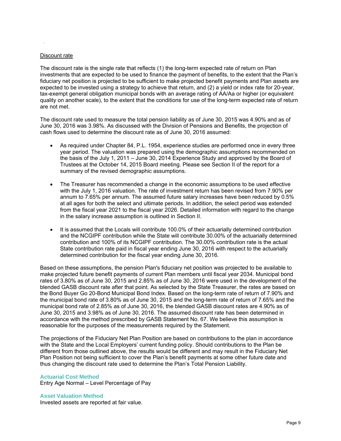#### Discount rate

.

The discount rate is the single rate that reflects (1) the long-term expected rate of return on Plan investments that are expected to be used to finance the payment of benefits, to the extent that the Plan's fiduciary net position is projected to be sufficient to make projected benefit payments and Plan assets are expected to be invested using a strategy to achieve that return, and (2) a yield or index rate for 20-year, tax-exempt general obligation municipal bonds with an average rating of AA/Aa or higher (or equivalent quality on another scale), to the extent that the conditions for use of the long-term expected rate of return are not met.

The discount rate used to measure the total pension liability as of June 30, 2015 was 4.90% and as of June 30, 2016 was 3.98%. As discussed with the Division of Pensions and Benefits, the projection of cash flows used to determine the discount rate as of June 30, 2016 assumed:

- As required under Chapter 84, P.L. 1954, experience studies are performed once in every three year period. The valuation was prepared using the demographic assumptions recommended on the basis of the July 1, 2011 – June 30, 2014 Experience Study and approved by the Board of Trustees at the October 14, 2015 Board meeting. Please see Section II of the report for a summary of the revised demographic assumptions.
- The Treasurer has recommended a change in the economic assumptions to be used effective with the July 1, 2016 valuation. The rate of investment return has been revised from 7.90% per annum to 7.65% per annum. The assumed future salary increases have been reduced by 0.5% at all ages for both the select and ultimate periods. In addition, the select period was extended from the fiscal year 2021 to the fiscal year 2026. Detailed information with regard to the change in the salary increase assumption is outlined in Section II.
- It is assumed that the Locals will contribute 100.0% of their actuarially determined contribution and the NCGIPF contribution while the State will contribute 30.00% of the actuarially determined contribution and 100% of its NCGIPF contribution. The 30.00% contribution rate is the actual State contribution rate paid in fiscal year ending June 30, 2016 with respect to the actuarially determined contribution for the fiscal year ending June 30, 2016.

Based on these assumptions, the pension Plan's fiduciary net position was projected to be available to make projected future benefit payments of current Plan members until fiscal year 2034. Municipal bond rates of 3.80% as of June 30, 2015 and 2.85% as of June 30, 2016 were used in the development of the blended GASB discount rate after that point. As selected by the State Treasurer, the rates are based on the Bond Buyer Go 20-Bond Municipal Bond Index. Based on the long-term rate of return of 7.90% and the municipal bond rate of 3.80% as of June 30, 2015 and the long-term rate of return of 7.65% and the municipal bond rate of 2.85% as of June 30, 2016, the blended GASB discount rates are 4.90% as of June 30, 2015 and 3.98% as of June 30, 2016. The assumed discount rate has been determined in accordance with the method prescribed by GASB Statement No. 67. We believe this assumption is reasonable for the purposes of the measurements required by the Statement.

The projections of the Fiduciary Net Plan Position are based on contributions to the plan in accordance with the State and the Local Employers' current funding policy. Should contributions to the Plan be different from those outlined above, the results would be different and may result in the Fiduciary Net Plan Position not being sufficient to cover the Plan's benefit payments at some other future date and thus changing the discount rate used to determine the Plan's Total Pension Liability.

#### **Actuarial Cost Method**

Entry Age Normal – Level Percentage of Pay

#### **Asset Valuation Method**

Invested assets are reported at fair value.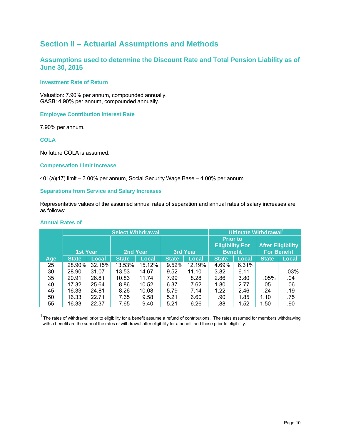## **Section II – Actuarial Assumptions and Methods**

### **Assumptions used to determine the Discount Rate and Total Pension Liability as of June 30, 2015**

#### **Investment Rate of Return**

Valuation: 7.90% per annum, compounded annually. GASB: 4.90% per annum, compounded annually.

**Employee Contribution Interest Rate** 

7.90% per annum.

**COLA** 

No future COLA is assumed.

#### **Compensation Limit Increase**

401(a)(17) limit – 3.00% per annum, Social Security Wage Base – 4.00% per annum

#### **Separations from Service and Salary Increases**

Representative values of the assumed annual rates of separation and annual rates of salary increases are as follows:

#### **Annual Rates of**

|     |                 |              | <b>Select Withdrawal</b> |        | Ultimate Withdrawal <sup>1</sup> |        |                 |                        |              |                          |
|-----|-----------------|--------------|--------------------------|--------|----------------------------------|--------|-----------------|------------------------|--------------|--------------------------|
|     |                 |              |                          |        |                                  |        | <b>Prior to</b> |                        |              |                          |
|     |                 |              |                          |        |                                  |        |                 | <b>Eligibility For</b> |              | <b>After Eligibility</b> |
|     | <b>1st Year</b> |              | <u>2nd Year</u>          |        | <b>3rd Year</b>                  |        | <b>Benefit</b>  |                        |              | <b>For Benefit</b>       |
| Age | <b>State</b>    | <b>Local</b> | <b>State</b>             | Local  | <b>State</b>                     | Local  | <b>State</b>    | Local                  | <b>State</b> | <b>Local</b>             |
| 25  | 28.90%          | 32.15%       | 13.53%                   | 15.12% | 9.52%                            | 12.19% | 4.69%           | 6.31%                  |              |                          |
| 30  | 28.90           | 31.07        | 13.53                    | 14.67  | 9.52                             | 11.10  | 3.82            | 6.11                   |              | .03%                     |
| 35  | 20.91           | 26.81        | 10.83                    | 11.74  | 7.99                             | 8.28   | 2.86            | 3.80                   | $.05\%$      | .04                      |
| 40  | 17.32           | 25.64        | 8.86                     | 10.52  | 6.37                             | 7.62   | 1.80            | 2.77                   | .05          | .06                      |
| 45  | 16.33           | 24.81        | 8.26                     | 10.08  | 5.79                             | 7.14   | 1.22            | 2.46                   | .24          | .19                      |
| 50  | 16.33           | 22.71        | 7.65                     | 9.58   | 5.21                             | 6.60   | .90             | 1.85                   | 1.10         | .75                      |
| 55  | 16.33           | 22.37        | 7.65                     | 9.40   | 5.21                             | 6.26   | .88             | 1.52                   | 1.50         | .90                      |

 $1$  The rates of withdrawal prior to eligibility for a benefit assume a refund of contributions. The rates assumed for members withdrawing with a benefit are the sum of the rates of withdrawal after eligibility for a benefit and those prior to eligibility.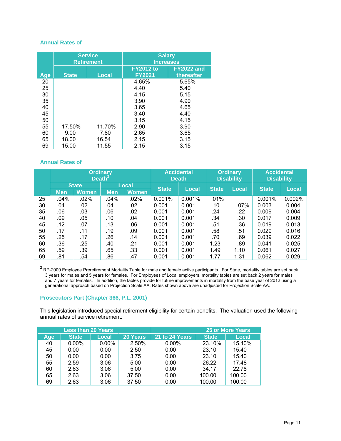#### **Annual Rates of**

|     |              | <b>Service</b><br><b>Retirement</b> | <b>Salary</b><br><b>Increases</b> |                                 |  |  |  |  |  |  |
|-----|--------------|-------------------------------------|-----------------------------------|---------------------------------|--|--|--|--|--|--|
| Age | <b>State</b> | <b>Local</b>                        | <b>FY2012 to</b><br><b>FY2021</b> | <b>FY2022 and</b><br>thereafter |  |  |  |  |  |  |
| 20  |              |                                     | 4.65%                             | 5.65%                           |  |  |  |  |  |  |
| 25  |              |                                     | 4.40                              | 5.40                            |  |  |  |  |  |  |
| 30  |              |                                     | 4.15                              | 5.15                            |  |  |  |  |  |  |
| 35  |              |                                     | 3.90                              | 4.90                            |  |  |  |  |  |  |
| 40  |              |                                     | 3.65                              | 4.65                            |  |  |  |  |  |  |
| 45  |              |                                     | 3.40                              | 4.40                            |  |  |  |  |  |  |
| 50  |              |                                     | 3.15                              | 4.15                            |  |  |  |  |  |  |
| 55  | 17.50%       | 11.70%                              | 2.90                              | 3.90                            |  |  |  |  |  |  |
| 60  | 9.00         | 7.80                                | 2.65                              | 3.65                            |  |  |  |  |  |  |
| 65  | 18.00        | 16.54                               | 2.15                              | 3.15                            |  |  |  |  |  |  |
| 69  | 15.00        | 11.55                               | 2.15                              | 3.15                            |  |  |  |  |  |  |

#### **Annual Rates of**

|    | <b>Ordinary</b><br>Death <sup>2</sup> |       |            |              | <b>Accidental</b><br><b>Death</b> |              | <b>Ordinary</b><br><b>Disability</b> | <b>Accidental</b><br><b>Disability</b> |              |        |
|----|---------------------------------------|-------|------------|--------------|-----------------------------------|--------------|--------------------------------------|----------------------------------------|--------------|--------|
|    | <b>State</b>                          |       | Local      |              | <b>State</b>                      | <b>Local</b> | <b>State</b>                         | Local                                  | <b>State</b> | Local  |
|    | <b>Men</b>                            | Women | <b>Men</b> | <b>Women</b> |                                   |              |                                      |                                        |              |        |
| 25 | .04%                                  | .02%  | .04%       | .02%         | 0.001%                            | 0.001%       | .01%                                 |                                        | 0.001%       | 0.002% |
| 30 | .04                                   | .02   | .04        | .02          | 0.001                             | 0.001        | .10                                  | $.07\%$                                | 0.003        | 0.004  |
| 35 | .06                                   | .03   | .06        | .02          | 0.001                             | 0.001        | .24                                  | .22                                    | 0.009        | 0.004  |
| 40 | .09                                   | .05   | .10        | .04          | 0.001                             | 0.001        | .34                                  | .30                                    | 0.017        | 0.009  |
| 45 | .12                                   | .07   | .13        | .06          | 0.001                             | 0.001        | .51                                  | .36                                    | 0.019        | 0.013  |
| 50 | .17                                   | .11   | .19        | .09          | 0.001                             | 0.001        | .58                                  | .51                                    | 0.029        | 0.016  |
| 55 | .25                                   | .17   | .26        | .14          | 0.001                             | 0.001        | .70                                  | .69                                    | 0.039        | 0.022  |
| 60 | .36                                   | .25   | .40        | .21          | 0.001                             | 0.001        | 1.23                                 | .89                                    | 0.041        | 0.025  |
| 65 | .59                                   | .39   | .65        | .33          | 0.001                             | 0.001        | 1.49                                 | 1.10                                   | 0.061        | 0.027  |
| 69 | .81                                   | .54   | .86        | .47          | 0.001                             | 0.001        | 1.77                                 | 1.31                                   | 0.062        | 0.029  |

 $^2$  RP-2000 Employee Preretirement Mortality Table for male and female active participants. For State, mortality tables are set back 3 years for males and 5 years for females. For Employees of Local employers, mortality tables are set back 2 years for males and 7 years for females. In addition, the tables provide for future improvements in mortality from the base year of 2012 using a generational approach based on Projection Scale AA. Rates shown above are unadjusted for Projection Scale AA.

#### **Prosecutors Part (Chapter 366, P.L. 2001)**

This legislation introduced special retirement eligibility for certain benefits. The valuation used the following annual rates of service retirement:

|     | <b>Less than 20 Years</b> |          |                 | <b>25 or More Years</b> |              |              |  |
|-----|---------------------------|----------|-----------------|-------------------------|--------------|--------------|--|
| Age | <b>State</b>              | Local    | <b>20 Years</b> | 21 to 24 Years          | <b>State</b> | <b>Local</b> |  |
| 40  | $0.00\%$                  | $0.00\%$ | 2.50%           | $0.00\%$                | 23.10%       | 15.40%       |  |
| 45  | 0.00                      | 0.00     | 2.50            | 0.00                    | 23.10        | 15.40        |  |
| 50  | 0.00                      | 0.00     | 3.75            | 0.00                    | 23.10        | 15.40        |  |
| 55  | 2.59                      | 3.06     | 5.00            | 0.00                    | 26.22        | 17.48        |  |
| 60  | 2.63                      | 3.06     | 5.00            | 0.00                    | 34.17        | 22.78        |  |
| 65  | 2.63                      | 3.06     | 37.50           | 0.00                    | 100.00       | 100.00       |  |
| 69  | 2.63                      | 3.06     | 37.50           | 0.00                    | 100.00       | 100.00       |  |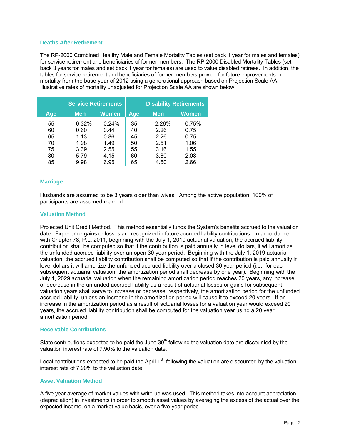#### **Deaths After Retirement**

The RP-2000 Combined Healthy Male and Female Mortality Tables (set back 1 year for males and females) for service retirement and beneficiaries of former members. The RP-2000 Disabled Mortality Tables (set back 3 years for males and set back 1 year for females) are used to value disabled retirees. In addition, the tables for service retirement and beneficiaries of former members provide for future improvements in mortality from the base year of 2012 using a generational approach based on Projection Scale AA. Illustrative rates of mortality unadjusted for Projection Scale AA are shown below:

|     |            | <b>Service Retirements</b> |     | <b>Disability Retirements</b> |       |  |
|-----|------------|----------------------------|-----|-------------------------------|-------|--|
| Age | <b>Men</b> | <b>Women</b>               | Age | <b>Men</b>                    | Women |  |
| 55  | 0.32%      | 0.24%                      | 35  | 2.26%                         | 0.75% |  |
| 60  | 0.60       | 0.44                       | 40  | 2.26                          | 0.75  |  |
| 65  | 1.13       | 0.86                       | 45  | 2.26                          | 0.75  |  |
| 70  | 1.98       | 1.49                       | 50  | 2.51                          | 1.06  |  |
| 75  | 3.39       | 2.55                       | 55  | 3.16                          | 1.55  |  |
| 80  | 5.79       | 4.15                       | 60  | 3.80                          | 2.08  |  |
| 85  | 9.98       | 6.95                       | 65  | 4.50                          | 2.66  |  |

#### **Marriage**

Husbands are assumed to be 3 years older than wives. Among the active population, 100% of participants are assumed married.

#### **Valuation Method**

Projected Unit Credit Method. This method essentially funds the System's benefits accrued to the valuation date. Experience gains or losses are recognized in future accrued liability contributions. In accordance with Chapter 78, P.L. 2011, beginning with the July 1, 2010 actuarial valuation, the accrued liability contribution shall be computed so that if the contribution is paid annually in level dollars, it will amortize the unfunded accrued liability over an open 30 year period. Beginning with the July 1, 2019 actuarial valuation, the accrued liability contribution shall be computed so that if the contribution is paid annually in level dollars it will amortize the unfunded accrued liability over a closed 30 year period (i.e., for each subsequent actuarial valuation, the amortization period shall decrease by one year). Beginning with the July 1, 2029 actuarial valuation when the remaining amortization period reaches 20 years, any increase or decrease in the unfunded accrued liability as a result of actuarial losses or gains for subsequent valuation years shall serve to increase or decrease, respectively, the amortization period for the unfunded accrued liability, unless an increase in the amortization period will cause it to exceed 20 years. If an increase in the amortization period as a result of actuarial losses for a valuation year would exceed 20 years, the accrued liability contribution shall be computed for the valuation year using a 20 year amortization period.

#### **Receivable Contributions**

State contributions expected to be paid the June  $30<sup>th</sup>$  following the valuation date are discounted by the valuation interest rate of 7.90% to the valuation date.

Local contributions expected to be paid the April  $1<sup>st</sup>$ , following the valuation are discounted by the valuation interest rate of 7.90% to the valuation date.

#### **Asset Valuation Method**

A five year average of market values with write-up was used. This method takes into account appreciation (depreciation) in investments in order to smooth asset values by averaging the excess of the actual over the expected income, on a market value basis, over a five-year period.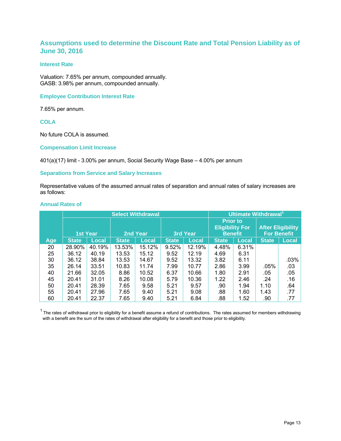#### **Assumptions used to determine the Discount Rate and Total Pension Liability as of June 30, 2016**

#### **Interest Rate**

Valuation: 7.65% per annum, compounded annually. GASB: 3.98% per annum, compounded annually.

#### **Employee Contribution Interest Rate**

7.65% per annum.

**COLA** 

No future COLA is assumed.

#### **Compensation Limit Increase**

401(a)(17) limit - 3.00% per annum, Social Security Wage Base – 4.00% per annum

#### **Separations from Service and Salary Increases**

Representative values of the assumed annual rates of separation and annual rates of salary increases are as follows:

#### **Annual Rates of**

|     |                 |              |              | <b>Select Withdrawal</b> |              |        | Ultimate Withdrawal <sup>1</sup>                            |              |                                                |              |
|-----|-----------------|--------------|--------------|--------------------------|--------------|--------|-------------------------------------------------------------|--------------|------------------------------------------------|--------------|
|     | <b>1st Year</b> |              | 2nd Year     |                          | 3rd Year     |        | <b>Prior to</b><br><b>Eligibility For</b><br><b>Benefit</b> |              | <b>After Eligibility</b><br><b>For Benefit</b> |              |
| Age | <b>State</b>    | <b>Local</b> | <b>State</b> | Local                    | <b>State</b> | Local  | <b>State</b>                                                | <b>Local</b> | <b>State</b>                                   | <b>Local</b> |
| 20  | 28.90%          | 40.19%       | 13.53%       | 15.12%                   | 9.52%        | 12.19% | 4.48%                                                       | 6.31%        |                                                |              |
| 25  | 36.12           | 40.19        | 13.53        | 15.12                    | 9.52         | 12.19  | 4.69                                                        | 6.31         |                                                |              |
| 30  | 36.12           | 38.84        | 13.53        | 14.67                    | 9.52         | 13.32  | 3.82                                                        | 6.11         |                                                | .03%         |
| 35  | 26.14           | 33.51        | 10.83        | 11.74                    | 7.99         | 10.77  | 2.86                                                        | 3.99         | $.05\%$                                        | .03          |
| 40  | 21.66           | 32.05        | 8.86         | 10.52                    | 6.37         | 10.66  | 1.80                                                        | 2.91         | .05                                            | .05          |
| 45  | 20.41           | 31.01        | 8.26         | 10.08                    | 5.79         | 10.36  | 1.22                                                        | 2.46         | .24                                            | .16          |
| 50  | 20.41           | 28.39        | 7.65         | 9.58                     | 5.21         | 9.57   | .90                                                         | 1.94         | 1.10                                           | .64          |
| 55  | 20.41           | 27.96        | 7.65         | 9.40                     | 5.21         | 9.08   | .88                                                         | 1.60         | 1.43                                           | .77          |
| 60  | 20.41           | 22.37        | 7.65         | 9.40                     | 5.21         | 6.84   | .88                                                         | 1.52         | .90                                            | .77          |

 $1$  The rates of withdrawal prior to eligibility for a benefit assume a refund of contributions. The rates assumed for members withdrawing with a benefit are the sum of the rates of withdrawal after eligibility for a benefit and those prior to eligibility.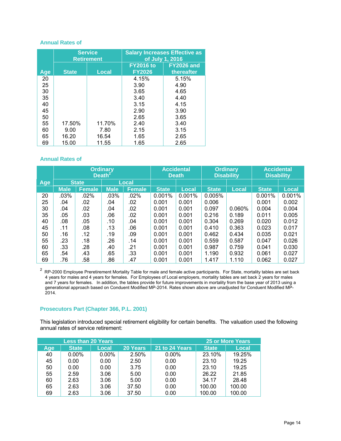#### **Annual Rates of**

|     |              | <b>Service</b><br><b>Retirement</b> | <b>Salary Increases Effective as</b><br>of July 1, 2016 |                                 |  |  |
|-----|--------------|-------------------------------------|---------------------------------------------------------|---------------------------------|--|--|
| Age | <b>State</b> | <b>Local</b>                        | <b>FY2016 to</b><br><b>FY2026</b>                       | <b>FY2026 and</b><br>thereafter |  |  |
| 20  |              |                                     | 4.15%                                                   | 5.15%                           |  |  |
| 25  |              |                                     | 3.90                                                    | 4.90                            |  |  |
| 30  |              |                                     | 3.65                                                    | 4.65                            |  |  |
| 35  |              |                                     | 3.40                                                    | 4.40                            |  |  |
| 40  |              |                                     | 3.15                                                    | 4.15                            |  |  |
| 45  |              |                                     | 2.90                                                    | 3.90                            |  |  |
| 50  |              |                                     | 2.65                                                    | 3.65                            |  |  |
| 55  | 17.50%       | 11.70%                              | 2.40                                                    | 3.40                            |  |  |
| 60  | 9.00         | 7.80                                | 2.15                                                    | 3.15                            |  |  |
| 65  | 16.20        | 16.54                               | 1.65                                                    | 2.65                            |  |  |
| 69  | 15.00        | 11.55                               | 1.65                                                    | 2.65                            |  |  |

#### **Annual Rates of**

|     | <b>Ordinary</b><br>Death <sup>2</sup> |               |             | <b>Accidental</b><br><b>Death</b> |              | <b>Ordinary</b><br><b>Disability</b> |              | <b>Accidental</b><br><b>Disability</b> |              |              |
|-----|---------------------------------------|---------------|-------------|-----------------------------------|--------------|--------------------------------------|--------------|----------------------------------------|--------------|--------------|
| Age |                                       | <b>State</b>  |             | Local                             |              |                                      |              |                                        |              |              |
|     | <b>Male</b>                           | <b>Female</b> | <b>Male</b> | <b>Female</b>                     | <b>State</b> | <b>Local</b>                         | <b>State</b> | <b>Local</b>                           | <b>State</b> | <b>Local</b> |
| 20  | .03%                                  | $.02\%$       | .03%        | .02%                              | 0.001%       | 0.001%                               | 0.005%       |                                        | 0.001%       | 0.001%       |
| 25  | .04                                   | .02           | .04         | .02                               | 0.001        | 0.001                                | 0.006        |                                        | 0.001        | 0.002        |
| 30  | .04                                   | .02           | .04         | .02                               | 0.001        | 0.001                                | 0.097        | 0.060%                                 | 0.004        | 0.004        |
| 35  | .05                                   | .03           | .06         | .02                               | 0.001        | 0.001                                | 0.216        | 0.189                                  | 0.011        | 0.005        |
| 40  | .08                                   | .05           | .10         | .04                               | 0.001        | 0.001                                | 0.304        | 0.269                                  | 0.020        | 0.012        |
| 45  | .11                                   | .08           | .13         | .06                               | 0.001        | 0.001                                | 0.410        | 0.363                                  | 0.023        | 0.017        |
| 50  | .16                                   | .12           | .19         | .09                               | 0.001        | 0.001                                | 0.462        | 0.434                                  | 0.035        | 0.021        |
| 55  | .23                                   | .18           | .26         | .14                               | 0.001        | 0.001                                | 0.559        | 0.587                                  | 0.047        | 0.026        |
| 60  | .33                                   | .28           | .40         | .21                               | 0.001        | 0.001                                | 0.987        | 0.759                                  | 0.041        | 0.030        |
| 65  | .54                                   | .43           | .65         | .33                               | 0.001        | 0.001                                | 1.190        | 0.932                                  | 0.061        | 0.027        |
| 69  | .76                                   | .58           | .86         | .47                               | 0.001        | 0.001                                | 1.417        | 1.110                                  | 0.062        | 0.027        |

<sup>2</sup> RP-2000 Employee Preretirement Mortality Table for male and female active participants. For State, mortality tables are set back 4 years for males and 4 years for females. For Employees of Local employers, mortality tables are set back 2 years for males and 7 years for females. In addition, the tables provide for future improvements in mortality from the base year of 2013 using a generational approach based on Conduent Modified MP-2014. Rates shown above are unadjusted for Conduent Modified MP-2014.

#### **Prosecutors Part (Chapter 366, P.L. 2001)**

This legislation introduced special retirement eligibility for certain benefits. The valuation used the following annual rates of service retirement:

|     | <b>Less than 20 Years</b> |          |          | <b>25 or More Years</b> |              |              |  |
|-----|---------------------------|----------|----------|-------------------------|--------------|--------------|--|
| Age | <b>State</b>              | Local    | 20 Years | 21 to 24 Years          | <b>State</b> | <b>Local</b> |  |
| 40  | $0.00\%$                  | $0.00\%$ | 2.50%    | $0.00\%$                | 23.10%       | 19.25%       |  |
| 45  | 0.00                      | 0.00     | 2.50     | 0.00                    | 23.10        | 19.25        |  |
| 50  | 0.00                      | 0.00     | 3.75     | 0.00                    | 23.10        | 19.25        |  |
| 55  | 2.59                      | 3.06     | 5.00     | 0.00                    | 26.22        | 21.85        |  |
| 60  | 2.63                      | 3.06     | 5.00     | 0.00                    | 34.17        | 28.48        |  |
| 65  | 2.63                      | 3.06     | 37.50    | 0.00                    | 100.00       | 100.00       |  |
| 69  | 2.63                      | 3.06     | 37.50    | 0.00                    | 100.00       | 100.00       |  |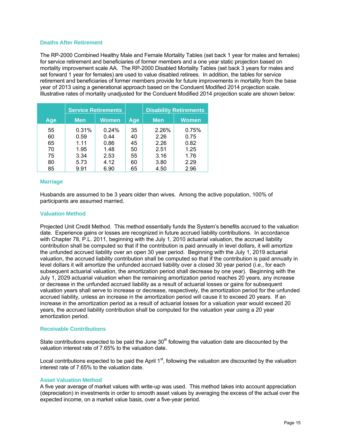#### **Deaths After Retirement**

The RP-2000 Combined Healthy Male and Female Mortality Tables (set back 1 year for males and females) for service retirement and beneficiaries of former members and a one year static projection based on mortality improvement scale AA. The RP-2000 Disabled Mortality Tables (set back 3 years for males and set forward 1 year for females) are used to value disabled retirees. In addition, the tables for service retirement and beneficiaries of former members provide for future improvements in mortality from the base year of 2013 using a generational approach based on the Conduent Modified 2014 projection scale. Illustrative rates of mortality unadjusted for the Conduent Modified 2014 projection scale are shown below:

|     | <b>Service Retirements</b> |       |     | <b>Disability Retirements</b> |              |  |
|-----|----------------------------|-------|-----|-------------------------------|--------------|--|
| Age | <b>Men</b>                 | Women | Age | <b>Men</b>                    | <b>Women</b> |  |
| 55  | 0.31%                      | 0.24% | 35  | 2.26%                         | 0.75%        |  |
| 60  | 0.59                       | 0.44  | 40  | 2.26                          | 0.75         |  |
| 65  | 1.11                       | 0.86  | 45  | 2.26                          | 0.82         |  |
| 70  | 1.95                       | 1.48  | 50  | 2.51                          | 1.25         |  |
| 75  | 3.34                       | 2.53  | 55  | 3.16                          | 1.76         |  |
| 80  | 5.73                       | 4.12  | 60  | 3.80                          | 2.29         |  |
| 85  | 9.91                       | 6.90  | 65  | 4.50                          | 2.96         |  |

#### **Marriage**

Husbands are assumed to be 3 years older than wives. Among the active population, 100% of participants are assumed married.

#### **Valuation Method**

Projected Unit Credit Method. This method essentially funds the System's benefits accrued to the valuation date. Experience gains or losses are recognized in future accrued liability contributions. In accordance with Chapter 78, P.L. 2011, beginning with the July 1, 2010 actuarial valuation, the accrued liability contribution shall be computed so that if the contribution is paid annually in level dollars, it will amortize the unfunded accrued liability over an open 30 year period. Beginning with the July 1, 2019 actuarial valuation, the accrued liability contribution shall be computed so that if the contribution is paid annually in level dollars it will amortize the unfunded accrued liability over a closed 30 year period (i.e., for each subsequent actuarial valuation, the amortization period shall decrease by one year). Beginning with the July 1, 2029 actuarial valuation when the remaining amortization period reaches 20 years, any increase or decrease in the unfunded accrued liability as a result of actuarial losses or gains for subsequent valuation years shall serve to increase or decrease, respectively, the amortization period for the unfunded accrued liability, unless an increase in the amortization period will cause it to exceed 20 years. If an increase in the amortization period as a result of actuarial losses for a valuation year would exceed 20 years, the accrued liability contribution shall be computed for the valuation year using a 20 year amortization period.

#### **Receivable Contributions**

State contributions expected to be paid the June  $30<sup>th</sup>$  following the valuation date are discounted by the valuation interest rate of 7.65% to the valuation date.

Local contributions expected to be paid the April  $1<sup>st</sup>$ , following the valuation are discounted by the valuation interest rate of 7.65% to the valuation date.

#### **Asset Valuation Method**

A five year average of market values with write-up was used. This method takes into account appreciation (depreciation) in investments in order to smooth asset values by averaging the excess of the actual over the expected income, on a market value basis, over a five-year period.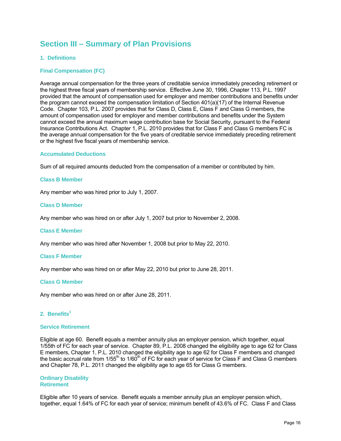## **Section III – Summary of Plan Provisions**

#### **1. Definitions**

#### **Final Compensation (FC)**

Average annual compensation for the three years of creditable service immediately preceding retirement or the highest three fiscal years of membership service. Effective June 30, 1996, Chapter 113, P.L. 1997 provided that the amount of compensation used for employer and member contributions and benefits under the program cannot exceed the compensation limitation of Section 401(a)(17) of the Internal Revenue Code. Chapter 103, P.L. 2007 provides that for Class D, Class E, Class F and Class G members, the amount of compensation used for employer and member contributions and benefits under the System cannot exceed the annual maximum wage contribution base for Social Security, pursuant to the Federal Insurance Contributions Act. Chapter 1, P.L. 2010 provides that for Class F and Class G members FC is the average annual compensation for the five years of creditable service immediately preceding retirement or the highest five fiscal years of membership service.

#### **Accumulated Deductions**

Sum of all required amounts deducted from the compensation of a member or contributed by him.

#### **Class B Member**

Any member who was hired prior to July 1, 2007.

#### **Class D Member**

Any member who was hired on or after July 1, 2007 but prior to November 2, 2008.

#### **Class E Member**

Any member who was hired after November 1, 2008 but prior to May 22, 2010.

#### **Class F Member**

Any member who was hired on or after May 22, 2010 but prior to June 28, 2011.

#### **Class G Member**

Any member who was hired on or after June 28, 2011.

#### 2. Benefits<sup>1</sup>

#### **Service Retirement**

Eligible at age 60. Benefit equals a member annuity plus an employer pension, which together, equal 1/55th of FC for each year of service. Chapter 89, P.L. 2008 changed the eligibility age to age 62 for Class E members, Chapter 1, P.L. 2010 changed the eligibility age to age 62 for Class F members and changed the basic accrual rate from 1/55<sup>th</sup> to 1/60<sup>th</sup> of FC for each year of service for Class F and Class G members and Chapter 78, P.L. 2011 changed the eligibility age to age 65 for Class G members.

#### **Ordinary Disability Retirement**

Eligible after 10 years of service. Benefit equals a member annuity plus an employer pension which, together, equal 1.64% of FC for each year of service; minimum benefit of 43.6% of FC. Class F and Class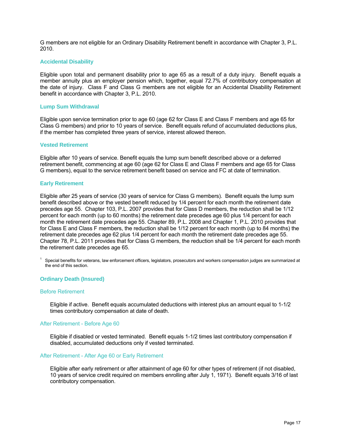G members are not eligible for an Ordinary Disability Retirement benefit in accordance with Chapter 3, P.L. 2010.

#### **Accidental Disability**

Eligible upon total and permanent disability prior to age 65 as a result of a duty injury. Benefit equals a member annuity plus an employer pension which, together, equal 72.7% of contributory compensation at the date of injury. Class F and Class G members are not eligible for an Accidental Disability Retirement benefit in accordance with Chapter 3, P.L. 2010.

#### **Lump Sum Withdrawal**

Eligible upon service termination prior to age 60 (age 62 for Class E and Class F members and age 65 for Class G members) and prior to 10 years of service. Benefit equals refund of accumulated deductions plus, if the member has completed three years of service, interest allowed thereon.

#### **Vested Retirement**

Eligible after 10 years of service. Benefit equals the lump sum benefit described above or a deferred retirement benefit, commencing at age 60 (age 62 for Class E and Class F members and age 65 for Class G members), equal to the service retirement benefit based on service and FC at date of termination.

#### **Early Retirement**

Eligible after 25 years of service (30 years of service for Class G members). Benefit equals the lump sum benefit described above or the vested benefit reduced by 1/4 percent for each month the retirement date precedes age 55. Chapter 103, P.L. 2007 provides that for Class D members, the reduction shall be 1/12 percent for each month (up to 60 months) the retirement date precedes age 60 plus 1/4 percent for each month the retirement date precedes age 55. Chapter 89, P.L. 2008 and Chapter 1, P.L. 2010 provides that for Class E and Class F members, the reduction shall be 1/12 percent for each month (up to 84 months) the retirement date precedes age 62 plus 1/4 percent for each month the retirement date precedes age 55. Chapter 78, P.L. 2011 provides that for Class G members, the reduction shall be 1/4 percent for each month the retirement date precedes age 65.

 $1$  Special benefits for veterans, law enforcement officers, legislators, prosecutors and workers compensation judges are summarized at the end of this section.

#### **Ordinary Death (Insured)**

#### Before Retirement

Eligible if active. Benefit equals accumulated deductions with interest plus an amount equal to 1-1/2 times contributory compensation at date of death.

#### After Retirement - Before Age 60

Eligible if disabled or vested terminated. Benefit equals 1-1/2 times last contributory compensation if disabled, accumulated deductions only if vested terminated.

#### After Retirement - After Age 60 or Early Retirement

Eligible after early retirement or after attainment of age 60 for other types of retirement (if not disabled, 10 years of service credit required on members enrolling after July 1, 1971). Benefit equals 3/16 of last contributory compensation.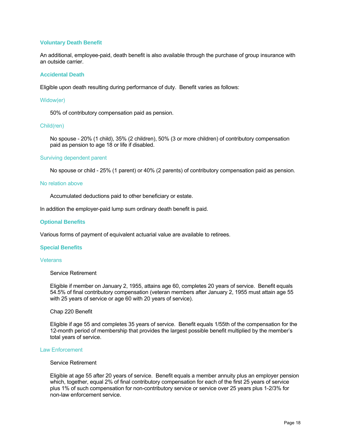#### **Voluntary Death Benefit**

An additional, employee-paid, death benefit is also available through the purchase of group insurance with an outside carrier.

#### **Accidental Death**

Eligible upon death resulting during performance of duty. Benefit varies as follows:

#### Widow(er)

50% of contributory compensation paid as pension.

#### Child(ren)

No spouse - 20% (1 child), 35% (2 children), 50% (3 or more children) of contributory compensation paid as pension to age 18 or life if disabled.

#### Surviving dependent parent

No spouse or child - 25% (1 parent) or 40% (2 parents) of contributory compensation paid as pension.

#### No relation above

Accumulated deductions paid to other beneficiary or estate.

In addition the employer-paid lump sum ordinary death benefit is paid.

#### **Optional Benefits**

Various forms of payment of equivalent actuarial value are available to retirees.

#### **Special Benefits**

#### **Veterans**

#### Service Retirement

Eligible if member on January 2, 1955, attains age 60, completes 20 years of service. Benefit equals 54.5% of final contributory compensation (veteran members after January 2, 1955 must attain age 55 with 25 years of service or age 60 with 20 years of service).

#### Chap 220 Benefit

Eligible if age 55 and completes 35 years of service. Benefit equals 1/55th of the compensation for the 12-month period of membership that provides the largest possible benefit multiplied by the member's total years of service.

#### Law Enforcement

#### Service Retirement

Eligible at age 55 after 20 years of service. Benefit equals a member annuity plus an employer pension which, together, equal 2% of final contributory compensation for each of the first 25 years of service plus 1% of such compensation for non-contributory service or service over 25 years plus 1-2/3% for non-law enforcement service.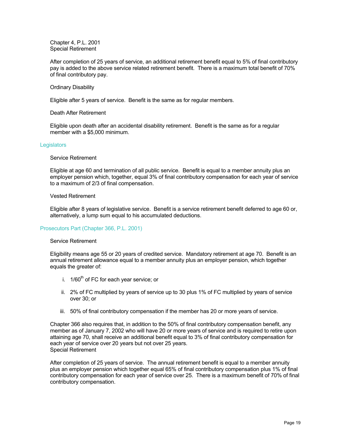Chapter 4, P.L. 2001 Special Retirement

After completion of 25 years of service, an additional retirement benefit equal to 5% of final contributory pay is added to the above service related retirement benefit. There is a maximum total benefit of 70% of final contributory pay.

#### Ordinary Disability

Eligible after 5 years of service. Benefit is the same as for regular members.

Death After Retirement

Eligible upon death after an accidental disability retirement. Benefit is the same as for a regular member with a \$5,000 minimum.

#### **Legislators**

#### Service Retirement

Eligible at age 60 and termination of all public service. Benefit is equal to a member annuity plus an employer pension which, together, equal 3% of final contributory compensation for each year of service to a maximum of 2/3 of final compensation.

#### Vested Retirement

Eligible after 8 years of legislative service. Benefit is a service retirement benefit deferred to age 60 or, alternatively, a lump sum equal to his accumulated deductions.

#### Prosecutors Part (Chapter 366, P.L. 2001)

#### Service Retirement

Eligibility means age 55 or 20 years of credited service. Mandatory retirement at age 70. Benefit is an annual retirement allowance equal to a member annuity plus an employer pension, which together equals the greater of:

- i.  $1/60^{th}$  of FC for each year service; or
- ii. 2% of FC multiplied by years of service up to 30 plus 1% of FC multiplied by years of service over 30; or
- iii. 50% of final contributory compensation if the member has 20 or more years of service.

Chapter 366 also requires that, in addition to the 50% of final contributory compensation benefit, any member as of January 7, 2002 who will have 20 or more years of service and is required to retire upon attaining age 70, shall receive an additional benefit equal to 3% of final contributory compensation for each year of service over 20 years but not over 25 years. Special Retirement

After completion of 25 years of service. The annual retirement benefit is equal to a member annuity plus an employer pension which together equal 65% of final contributory compensation plus 1% of final contributory compensation for each year of service over 25. There is a maximum benefit of 70% of final contributory compensation.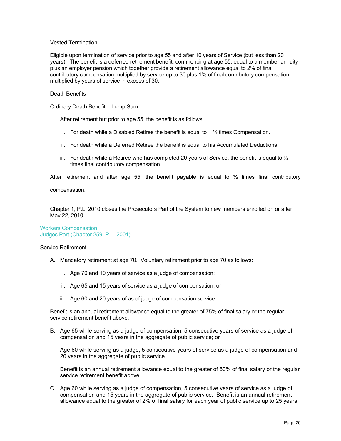#### Vested Termination

Eligible upon termination of service prior to age 55 and after 10 years of Service (but less than 20 years). The benefit is a deferred retirement benefit, commencing at age 55, equal to a member annuity plus an employer pension which together provide a retirement allowance equal to 2% of final contributory compensation multiplied by service up to 30 plus 1% of final contributory compensation multiplied by years of service in excess of 30.

#### Death Benefits

Ordinary Death Benefit – Lump Sum

After retirement but prior to age 55, the benefit is as follows:

- i. For death while a Disabled Retiree the benefit is equal to 1  $\frac{1}{2}$  times Compensation.
- ii. For death while a Deferred Retiree the benefit is equal to his Accumulated Deductions.
- iii. For death while a Retiree who has completed 20 years of Service, the benefit is equal to  $\frac{1}{2}$ times final contributory compensation.

After retirement and after age 55, the benefit payable is equal to  $\frac{1}{2}$  times final contributory

compensation.

Chapter 1, P.L. 2010 closes the Prosecutors Part of the System to new members enrolled on or after May 22, 2010.

Workers Compensation Judges Part (Chapter 259, P.L. 2001)

#### Service Retirement

- A. Mandatory retirement at age 70. Voluntary retirement prior to age 70 as follows:
	- i. Age 70 and 10 years of service as a judge of compensation;
	- ii. Age 65 and 15 years of service as a judge of compensation; or
	- iii. Age 60 and 20 years of as of judge of compensation service.

Benefit is an annual retirement allowance equal to the greater of 75% of final salary or the regular service retirement benefit above.

B. Age 65 while serving as a judge of compensation, 5 consecutive years of service as a judge of compensation and 15 years in the aggregate of public service; or

Age 60 while serving as a judge, 5 consecutive years of service as a judge of compensation and 20 years in the aggregate of public service.

Benefit is an annual retirement allowance equal to the greater of 50% of final salary or the regular service retirement benefit above.

C. Age 60 while serving as a judge of compensation, 5 consecutive years of service as a judge of compensation and 15 years in the aggregate of public service. Benefit is an annual retirement allowance equal to the greater of 2% of final salary for each year of public service up to 25 years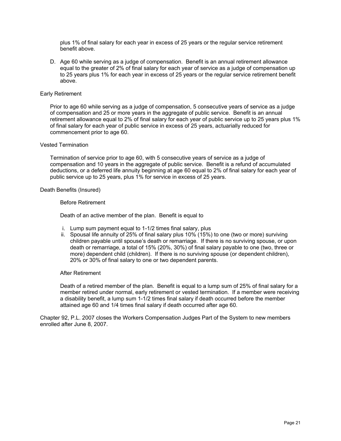plus 1% of final salary for each year in excess of 25 years or the regular service retirement benefit above.

D. Age 60 while serving as a judge of compensation. Benefit is an annual retirement allowance equal to the greater of 2% of final salary for each year of service as a judge of compensation up to 25 years plus 1% for each year in excess of 25 years or the regular service retirement benefit above.

#### Early Retirement

Prior to age 60 while serving as a judge of compensation, 5 consecutive years of service as a judge of compensation and 25 or more years in the aggregate of public service. Benefit is an annual retirement allowance equal to 2% of final salary for each year of public service up to 25 years plus 1% of final salary for each year of public service in excess of 25 years, actuarially reduced for commencement prior to age 60.

#### Vested Termination

Termination of service prior to age 60, with 5 consecutive years of service as a judge of compensation and 10 years in the aggregate of public service. Benefit is a refund of accumulated deductions, or a deferred life annuity beginning at age 60 equal to 2% of final salary for each year of public service up to 25 years, plus 1% for service in excess of 25 years.

#### Death Benefits (Insured)

#### Before Retirement

Death of an active member of the plan. Benefit is equal to

- i. Lump sum payment equal to 1-1/2 times final salary, plus
- ii. Spousal life annuity of 25% of final salary plus 10% (15%) to one (two or more) surviving children payable until spouse's death or remarriage. If there is no surviving spouse, or upon death or remarriage, a total of 15% (20%, 30%) of final salary payable to one (two, three or more) dependent child (children). If there is no surviving spouse (or dependent children), 20% or 30% of final salary to one or two dependent parents.

#### After Retirement

Death of a retired member of the plan. Benefit is equal to a lump sum of 25% of final salary for a member retired under normal, early retirement or vested termination. If a member were receiving a disability benefit, a lump sum 1-1/2 times final salary if death occurred before the member attained age 60 and 1/4 times final salary if death occurred after age 60.

Chapter 92, P.L. 2007 closes the Workers Compensation Judges Part of the System to new members enrolled after June 8, 2007.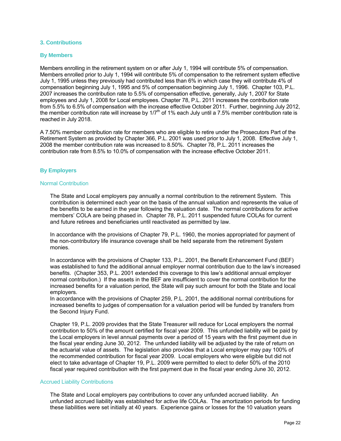#### **3. Contributions**

#### **By Members**

Members enrolling in the retirement system on or after July 1, 1994 will contribute 5% of compensation. Members enrolled prior to July 1, 1994 will contribute 5% of compensation to the retirement system effective July 1, 1995 unless they previously had contributed less than 6% in which case they will contribute 4% of compensation beginning July 1, 1995 and 5% of compensation beginning July 1, 1996. Chapter 103, P.L. 2007 increases the contribution rate to 5.5% of compensation effective, generally, July 1, 2007 for State employees and July 1, 2008 for Local employees. Chapter 78, P.L. 2011 increases the contribution rate from 5.5% to 6.5% of compensation with the increase effective October 2011. Further, beginning July 2012, the member contribution rate will increase by  $1/7<sup>th</sup>$  of 1% each July until a 7.5% member contribution rate is reached in July 2018.

A 7.50% member contribution rate for members who are eligible to retire under the Prosecutors Part of the Retirement System as provided by Chapter 366, P.L. 2001 was used prior to July 1, 2008. Effective July 1, 2008 the member contribution rate was increased to 8.50%. Chapter 78, P.L. 2011 increases the contribution rate from 8.5% to 10.0% of compensation with the increase effective October 2011.

#### **By Employers**

#### Normal Contribution

The State and Local employers pay annually a normal contribution to the retirement System. This contribution is determined each year on the basis of the annual valuation and represents the value of the benefits to be earned in the year following the valuation date. The normal contributions for active members' COLA are being phased in. Chapter 78, P.L. 2011 suspended future COLAs for current and future retirees and beneficiaries until reactivated as permitted by law.

In accordance with the provisions of Chapter 79, P.L. 1960, the monies appropriated for payment of the non-contributory life insurance coverage shall be held separate from the retirement System monies.

In accordance with the provisions of Chapter 133, P.L. 2001, the Benefit Enhancement Fund (BEF) was established to fund the additional annual employer normal contribution due to the law's increased benefits. (Chapter 353, P.L. 2001 extended this coverage to this law's additional annual employer normal contribution.) If the assets in the BEF are insufficient to cover the normal contribution for the increased benefits for a valuation period, the State will pay such amount for both the State and local employers.

In accordance with the provisions of Chapter 259, P.L. 2001, the additional normal contributions for increased benefits to judges of compensation for a valuation period will be funded by transfers from the Second Injury Fund.

Chapter 19, P.L. 2009 provides that the State Treasurer will reduce for Local employers the normal contribution to 50% of the amount certified for fiscal year 2009. This unfunded liability will be paid by the Local employers in level annual payments over a period of 15 years with the first payment due in the fiscal year ending June 30, 2012. The unfunded liability will be adjusted by the rate of return on the actuarial value of assets. The legislation also provides that a Local employer may pay 100% of the recommended contribution for fiscal year 2009. Local employers who were eligible but did not elect to take advantage of Chapter 19, P.L. 2009 were permitted to elect to defer 50% of the 2010 fiscal year required contribution with the first payment due in the fiscal year ending June 30, 2012.

#### Accrued Liability Contributions

The State and Local employers pay contributions to cover any unfunded accrued liability. An unfunded accrued liability was established for active life COLAs. The amortization periods for funding these liabilities were set initially at 40 years. Experience gains or losses for the 10 valuation years